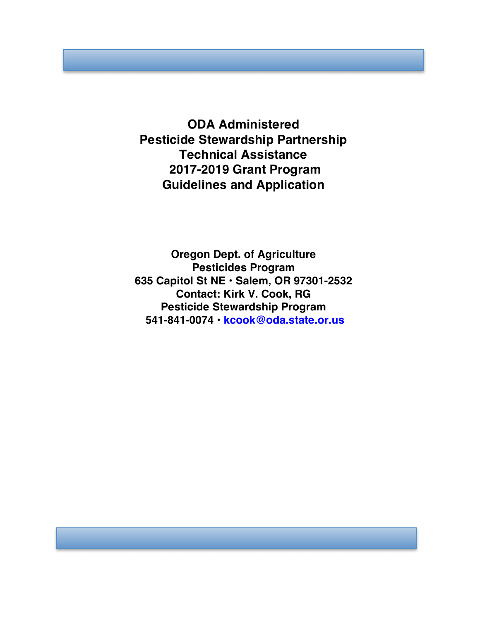**ODA Administered Pesticide Stewardship Partnership Technical Assistance 2017-2019 Grant Program Guidelines and Application**

**Oregon Dept. of Agriculture Pesticides Program 635 Capitol St NE • Salem, OR 97301-2532 Contact: Kirk V. Cook, RG Pesticide Stewardship Program 541-841-0074 • kcook@oda.state.or.us**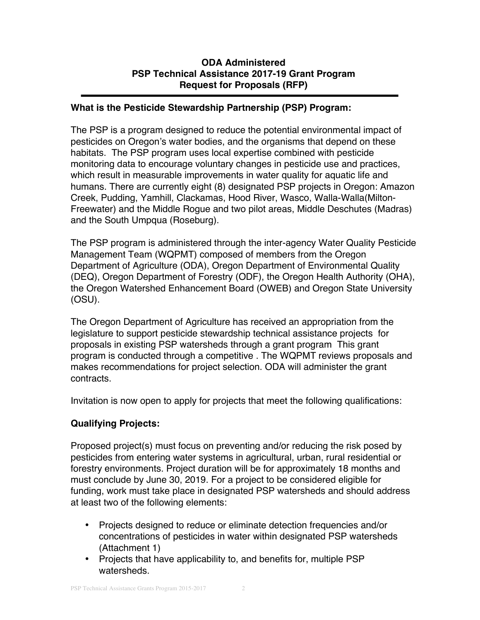## **ODA Administered PSP Technical Assistance 2017-19 Grant Program Request for Proposals (RFP)**

### **What is the Pesticide Stewardship Partnership (PSP) Program:**

The PSP is a program designed to reduce the potential environmental impact of pesticides on Oregon's water bodies, and the organisms that depend on these habitats. The PSP program uses local expertise combined with pesticide monitoring data to encourage voluntary changes in pesticide use and practices, which result in measurable improvements in water quality for aquatic life and humans. There are currently eight (8) designated PSP projects in Oregon: Amazon Creek, Pudding, Yamhill, Clackamas, Hood River, Wasco, Walla-Walla(Milton-Freewater) and the Middle Rogue and two pilot areas, Middle Deschutes (Madras) and the South Umpqua (Roseburg).

The PSP program is administered through the inter-agency Water Quality Pesticide Management Team (WQPMT) composed of members from the Oregon Department of Agriculture (ODA), Oregon Department of Environmental Quality (DEQ), Oregon Department of Forestry (ODF), the Oregon Health Authority (OHA), the Oregon Watershed Enhancement Board (OWEB) and Oregon State University (OSU).

The Oregon Department of Agriculture has received an appropriation from the legislature to support pesticide stewardship technical assistance projects for proposals in existing PSP watersheds through a grant program This grant program is conducted through a competitive . The WQPMT reviews proposals and makes recommendations for project selection. ODA will administer the grant contracts.

Invitation is now open to apply for projects that meet the following qualifications:

# **Qualifying Projects:**

Proposed project(s) must focus on preventing and/or reducing the risk posed by pesticides from entering water systems in agricultural, urban, rural residential or forestry environments. Project duration will be for approximately 18 months and must conclude by June 30, 2019. For a project to be considered eligible for funding, work must take place in designated PSP watersheds and should address at least two of the following elements:

- Projects designed to reduce or eliminate detection frequencies and/or concentrations of pesticides in water within designated PSP watersheds (Attachment 1)
- Projects that have applicability to, and benefits for, multiple PSP watersheds.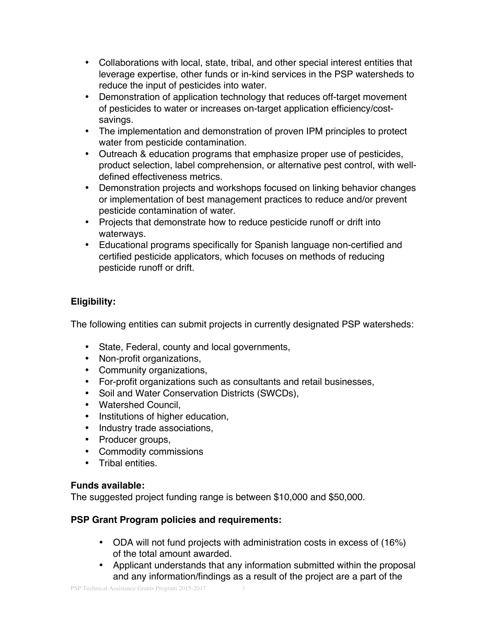- Collaborations with local, state, tribal, and other special interest entities that leverage expertise, other funds or in-kind services in the PSP watersheds to reduce the input of pesticides into water.
- Demonstration of application technology that reduces off-target movement of pesticides to water or increases on-target application efficiency/costsavings.
- The implementation and demonstration of proven IPM principles to protect water from pesticide contamination.
- Outreach & education programs that emphasize proper use of pesticides, product selection, label comprehension, or alternative pest control, with welldefined effectiveness metrics.
- Demonstration projects and workshops focused on linking behavior changes or implementation of best management practices to reduce and/or prevent pesticide contamination of water.
- Projects that demonstrate how to reduce pesticide runoff or drift into waterways.
- Educational programs specifically for Spanish language non-certified and certified pesticide applicators, which focuses on methods of reducing pesticide runoff or drift.

# **Eligibility:**

The following entities can submit projects in currently designated PSP watersheds:

- State, Federal, county and local governments,
- Non-profit organizations,
- Community organizations,
- For-profit organizations such as consultants and retail businesses,
- Soil and Water Conservation Districts (SWCDs),
- Watershed Council,
- Institutions of higher education,
- Industry trade associations,
- Producer groups,
- Commodity commissions
- Tribal entities.

## **Funds available:**

The suggested project funding range is between \$10,000 and \$50,000.

# **PSP Grant Program policies and requirements:**

- ODA will not fund projects with administration costs in excess of (16%) of the total amount awarded.
- Applicant understands that any information submitted within the proposal and any information/findings as a result of the project are a part of the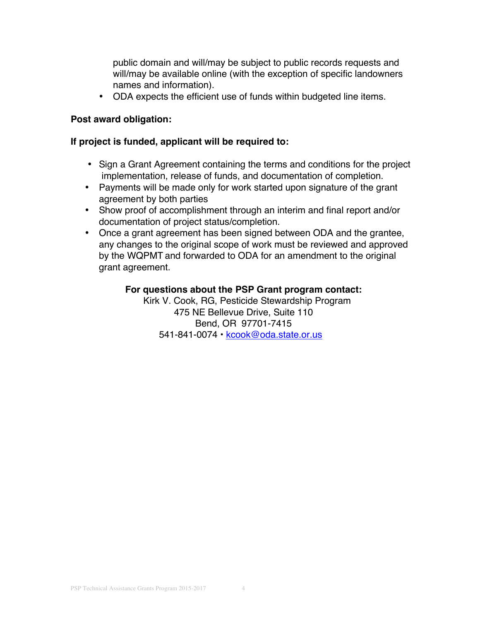public domain and will/may be subject to public records requests and will/may be available online (with the exception of specific landowners names and information).

• ODA expects the efficient use of funds within budgeted line items.

### **Post award obligation:**

### **If project is funded, applicant will be required to:**

- Sign a Grant Agreement containing the terms and conditions for the project implementation, release of funds, and documentation of completion.
- Payments will be made only for work started upon signature of the grant agreement by both parties
- Show proof of accomplishment through an interim and final report and/or documentation of project status/completion.
- Once a grant agreement has been signed between ODA and the grantee, any changes to the original scope of work must be reviewed and approved by the WQPMT and forwarded to ODA for an amendment to the original grant agreement.

### **For questions about the PSP Grant program contact:**

 Kirk V. Cook, RG, Pesticide Stewardship Program 475 NE Bellevue Drive, Suite 110 Bend, OR 97701-7415 541-841-0074 • kcook@oda.state.or.us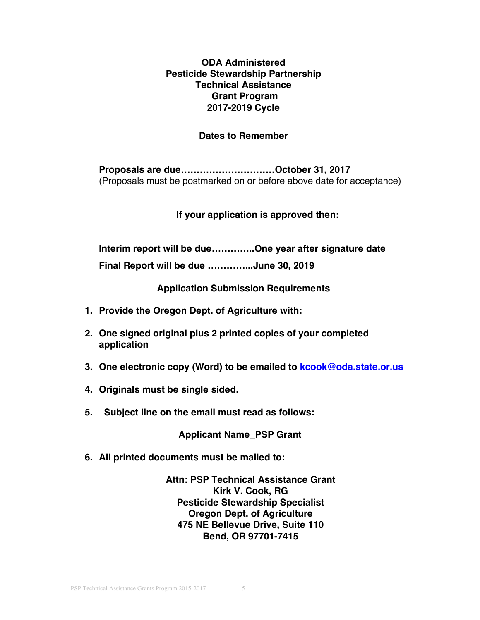## **ODA Administered Pesticide Stewardship Partnership Technical Assistance Grant Program 2017-2019 Cycle**

### **Dates to Remember**

**Proposals are due…………………………October 31, 2017** (Proposals must be postmarked on or before above date for acceptance)

#### **If your application is approved then:**

**Interim report will be due…………..One year after signature date**

**Final Report will be due …………...June 30, 2019**

**Application Submission Requirements**

- **1. Provide the Oregon Dept. of Agriculture with:**
- **2. One signed original plus 2 printed copies of your completed application**
- **3. One electronic copy (Word) to be emailed to kcook@oda.state.or.us**
- **4. Originals must be single sided.**
- **5. Subject line on the email must read as follows:**

**Applicant Name\_PSP Grant**

**6. All printed documents must be mailed to:**

**Attn: PSP Technical Assistance Grant Kirk V. Cook, RG Pesticide Stewardship Specialist Oregon Dept. of Agriculture 475 NE Bellevue Drive, Suite 110 Bend, OR 97701-7415**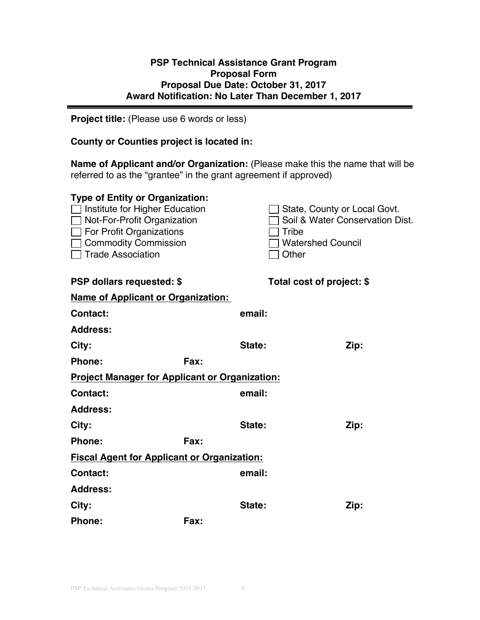## **PSP Technical Assistance Grant Program Proposal Form Proposal Due Date: October 31, 2017 Award Notification: No Later Than December 1, 2017**

**Project title:** (Please use 6 words or less)

### **County or Counties project is located in:**

**Name of Applicant and/or Organization:** (Please make this the name that will be referred to as the "grantee" in the grant agreement if approved)

| <b>Type of Entity or Organization:</b>                |             |        |                                 |
|-------------------------------------------------------|-------------|--------|---------------------------------|
| Institute for Higher Education                        |             |        | State, County or Local Govt.    |
| Not-For-Profit Organization                           |             |        | Soil & Water Conservation Dist. |
| For Profit Organizations                              |             |        | Tribe                           |
| <b>Commodity Commission</b>                           |             |        | <b>Watershed Council</b>        |
| <b>Trade Association</b>                              |             |        | Other                           |
| <b>PSP dollars requested: \$</b>                      |             |        | Total cost of project: \$       |
|                                                       |             |        |                                 |
| <b>Name of Applicant or Organization:</b>             |             |        |                                 |
| <b>Contact:</b>                                       |             | email: |                                 |
| <b>Address:</b>                                       |             |        |                                 |
| City:                                                 |             | State: | Zip:                            |
| Phone:                                                | Fax:        |        |                                 |
| <b>Project Manager for Applicant or Organization:</b> |             |        |                                 |
| <b>Contact:</b>                                       |             | email: |                                 |
| <b>Address:</b>                                       |             |        |                                 |
| City:                                                 |             | State: | Zip:                            |
| <b>Phone:</b>                                         | <b>Fax:</b> |        |                                 |
| <b>Fiscal Agent for Applicant or Organization:</b>    |             |        |                                 |
| <b>Contact:</b>                                       |             | email: |                                 |
| <b>Address:</b>                                       |             |        |                                 |
| City:                                                 |             | State: | Zip:                            |
| <b>Phone:</b>                                         | Fax:        |        |                                 |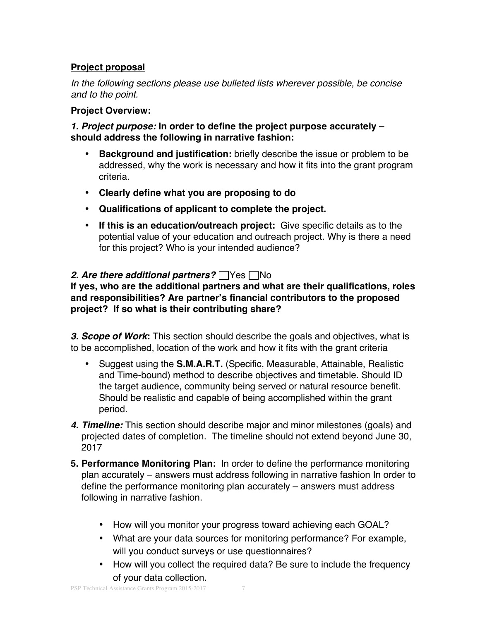# **Project proposal**

*In the following sections please use bulleted lists wherever possible, be concise and to the point.*

### **Project Overview:**

*1. Project purpose:* **In order to define the project purpose accurately – should address the following in narrative fashion:**

- **Background and justification:** briefly describe the issue or problem to be addressed, why the work is necessary and how it fits into the grant program criteria.
- **Clearly define what you are proposing to do**
- **Qualifications of applicant to complete the project.**
- **If this is an education/outreach project:** Give specific details as to the potential value of your education and outreach project. Why is there a need for this project? Who is your intended audience?

## **2. Are there additional partners?** Yes  $\Box$  No

**If yes, who are the additional partners and what are their qualifications, roles and responsibilities? Are partner's financial contributors to the proposed project? If so what is their contributing share?**

*3. Scope of Work***:** This section should describe the goals and objectives, what is to be accomplished, location of the work and how it fits with the grant criteria

- Suggest using the **S.M.A.R.T.** (Specific, Measurable, Attainable, Realistic and Time-bound) method to describe objectives and timetable. Should ID the target audience, community being served or natural resource benefit. Should be realistic and capable of being accomplished within the grant period.
- *4. Timeline:* This section should describe major and minor milestones (goals) and projected dates of completion. The timeline should not extend beyond June 30, 2017
- **5. Performance Monitoring Plan:** In order to define the performance monitoring plan accurately – answers must address following in narrative fashion In order to define the performance monitoring plan accurately – answers must address following in narrative fashion.
	- How will you monitor your progress toward achieving each GOAL?
	- What are your data sources for monitoring performance? For example, will you conduct surveys or use questionnaires?
	- How will you collect the required data? Be sure to include the frequency of your data collection.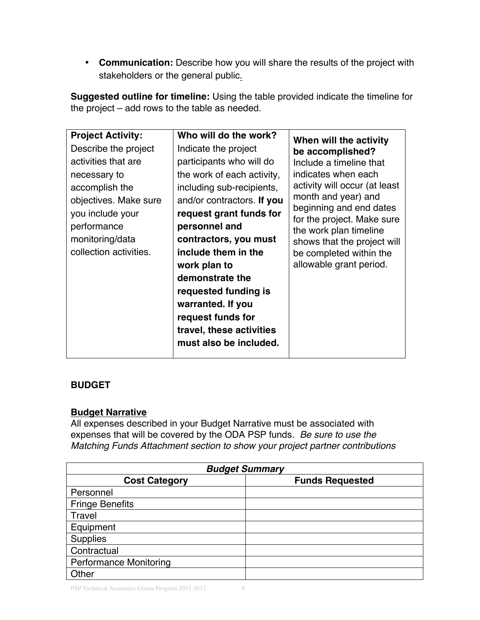• **Communication:** Describe how you will share the results of the project with stakeholders or the general public.

**Suggested outline for timeline:** Using the table provided indicate the timeline for the project – add rows to the table as needed.

# **BUDGET**

## **Budget Narrative**

All expenses described in your Budget Narrative must be associated with expenses that will be covered by the ODA PSP funds. *Be sure to use the Matching Funds Attachment section to show your project partner contributions*

| <b>Budget Summary</b>         |                        |  |  |  |
|-------------------------------|------------------------|--|--|--|
| <b>Cost Category</b>          | <b>Funds Requested</b> |  |  |  |
| Personnel                     |                        |  |  |  |
| <b>Fringe Benefits</b>        |                        |  |  |  |
| Travel                        |                        |  |  |  |
| Equipment                     |                        |  |  |  |
| <b>Supplies</b>               |                        |  |  |  |
| Contractual                   |                        |  |  |  |
| <b>Performance Monitoring</b> |                        |  |  |  |
| Other                         |                        |  |  |  |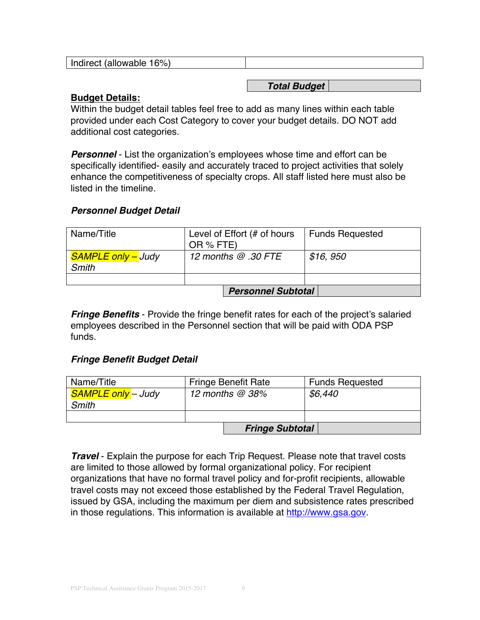| $16\%$<br>Indirect (allowable |
|-------------------------------|
|-------------------------------|

#### *Total Budget*

### **Budget Details:**

Within the budget detail tables feel free to add as many lines within each table provided under each Cost Category to cover your budget details. DO NOT add additional cost categories.

*Personnel* - List the organization's employees whose time and effort can be specifically identified- easily and accurately traced to project activities that solely enhance the competitiveness of specialty crops. All staff listed here must also be listed in the timeline.

## *Personnel Budget Detail*

| Name/Title                                | Level of Effort (# of hours<br>OR % FTE) | <b>Funds Requested</b> |  |
|-------------------------------------------|------------------------------------------|------------------------|--|
| <b>SAMPLE only – Judy</b><br><b>Smith</b> | 12 months $@.30$ FTE                     | \$16, 950              |  |
|                                           |                                          |                        |  |
| <b>Personnel Subtotal</b>                 |                                          |                        |  |

*Fringe Benefits* - Provide the fringe benefit rates for each of the project's salaried employees described in the Personnel section that will be paid with ODA PSP funds.

### *Fringe Benefit Budget Detail*

| Name/Title                | <b>Fringe Benefit Rate</b> | <b>Funds Requested</b> |  |
|---------------------------|----------------------------|------------------------|--|
| <b>SAMPLE only</b> - Judy | 12 months $@38\%$          | \$6,440                |  |
| Smith                     |                            |                        |  |
|                           |                            |                        |  |
| <b>Fringe Subtotal</b>    |                            |                        |  |

*Travel* - Explain the purpose for each Trip Request. Please note that travel costs are limited to those allowed by formal organizational policy. For recipient organizations that have no formal travel policy and for-profit recipients, allowable travel costs may not exceed those established by the Federal Travel Regulation, issued by GSA, including the maximum per diem and subsistence rates prescribed in those regulations. This information is available at http://www.gsa.gov.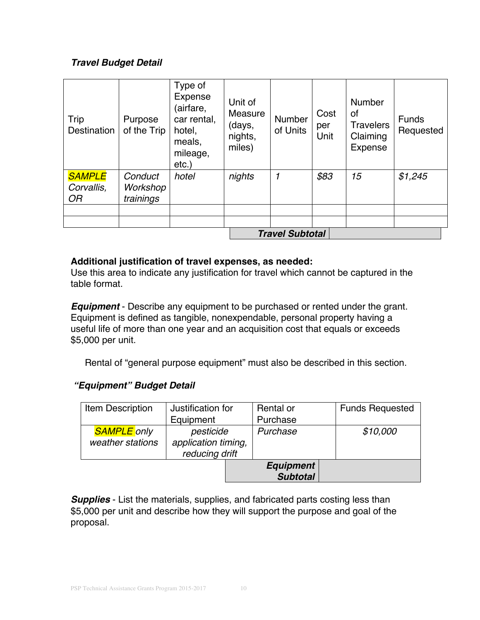# *Travel Budget Detail*

| Trip<br><b>Destination</b>               | Purpose<br>of the Trip           | Type of<br><b>Expense</b><br>(airfare,<br>car rental,<br>hotel,<br>meals,<br>mileage,<br>$etc.$ ) | Unit of<br>Measure<br>(days,<br>nights,<br>miles) | Number<br>of Units | Cost<br>per<br>Unit | <b>Number</b><br>οf<br><b>Travelers</b><br>Claiming<br>Expense | <b>Funds</b><br>Requested |
|------------------------------------------|----------------------------------|---------------------------------------------------------------------------------------------------|---------------------------------------------------|--------------------|---------------------|----------------------------------------------------------------|---------------------------|
| <b>SAMPLE</b><br>Corvallis,<br><b>OR</b> | Conduct<br>Workshop<br>trainings | hotel                                                                                             | nights                                            |                    | \$83                | 15                                                             | \$1,245                   |
|                                          |                                  |                                                                                                   |                                                   |                    |                     |                                                                |                           |
|                                          | <b>Travel Subtotal</b>           |                                                                                                   |                                                   |                    |                     |                                                                |                           |

# **Additional justification of travel expenses, as needed:**

Use this area to indicate any justification for travel which cannot be captured in the table format.

*Equipment* - Describe any equipment to be purchased or rented under the grant. Equipment is defined as tangible, nonexpendable, personal property having a useful life of more than one year and an acquisition cost that equals or exceeds \$5,000 per unit.

Rental of "general purpose equipment" must also be described in this section.

# *"Equipment" Budget Detail*

| Item Description   | Justification for   | Rental or        | <b>Funds Requested</b> |
|--------------------|---------------------|------------------|------------------------|
|                    | Equipment           | Purchase         |                        |
| <b>SAMPLE</b> only | pesticide           | Purchase         | \$10,000               |
| weather stations   | application timing, |                  |                        |
|                    | reducing drift      |                  |                        |
|                    |                     | <b>Equipment</b> |                        |
|                    |                     | <b>Subtotal</b>  |                        |

**Supplies** - List the materials, supplies, and fabricated parts costing less than \$5,000 per unit and describe how they will support the purpose and goal of the proposal.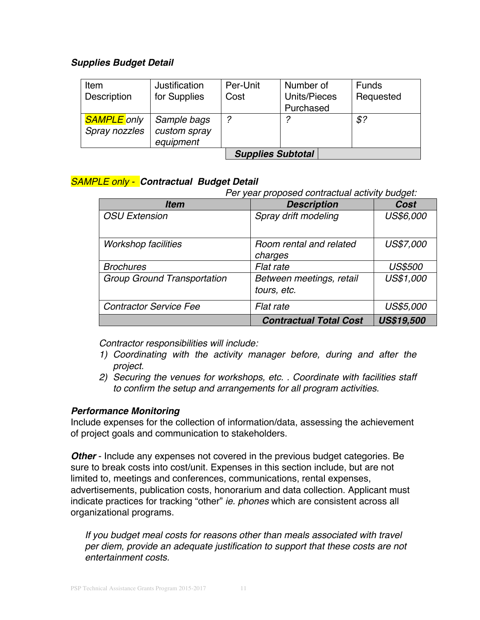## *Supplies Budget Detail*

| Item               | Justification | Per-Unit | Number of                | Funds       |  |
|--------------------|---------------|----------|--------------------------|-------------|--|
| Description        | for Supplies  | Cost     | Units/Pieces             | Requested   |  |
|                    |               |          | Purchased                |             |  |
| <b>SAMPLE</b> only | Sample bags   | 2        | っ                        | $$^{\circ}$ |  |
| Spray nozzles      | custom spray  |          |                          |             |  |
|                    | equipment     |          |                          |             |  |
|                    |               |          | <b>Supplies Subtotal</b> |             |  |

## *SAMPLE only - Contractual Budget Detail*

*Per year proposed contractual activity budget:*

| <b>Item</b>                        | <b>Description</b>                      | Cost              |
|------------------------------------|-----------------------------------------|-------------------|
| <b>OSU Extension</b>               | Spray drift modeling                    | US\$6,000         |
| <b>Workshop facilities</b>         | Room rental and related<br>charges      | US\$7,000         |
| <b>Brochures</b>                   | Flat rate                               | <b>US\$500</b>    |
| <b>Group Ground Transportation</b> | Between meetings, retail<br>tours, etc. | US\$1,000         |
| <b>Contractor Service Fee</b>      | Flat rate                               | US\$5,000         |
|                                    | <b>Contractual Total Cost</b>           | <b>US\$19,500</b> |

*Contractor responsibilities will include:*

- *1) Coordinating with the activity manager before, during and after the project.*
- *2) Securing the venues for workshops, etc. . Coordinate with facilities staff to confirm the setup and arrangements for all program activities.*

### *Performance Monitoring*

Include expenses for the collection of information/data, assessing the achievement of project goals and communication to stakeholders.

**Other** - Include any expenses not covered in the previous budget categories. Be sure to break costs into cost/unit. Expenses in this section include, but are not limited to, meetings and conferences, communications, rental expenses, advertisements, publication costs, honorarium and data collection. Applicant must indicate practices for tracking "other" *ie. phones* which are consistent across all organizational programs.

*If you budget meal costs for reasons other than meals associated with travel per diem, provide an adequate justification to support that these costs are not entertainment costs.*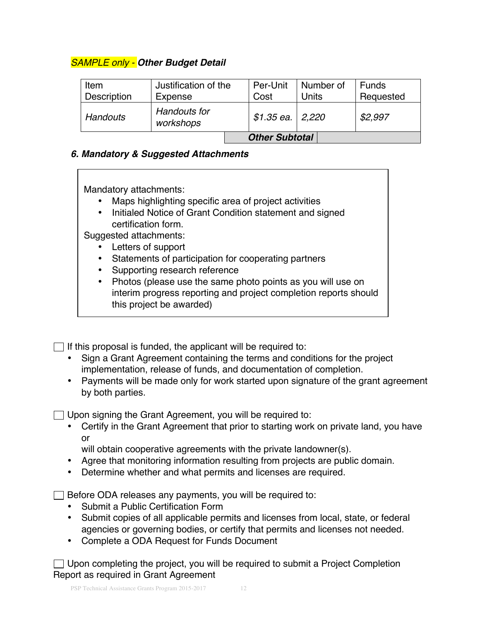# *SAMPLE only - Other Budget Detail*

| Item            | Justification of the      | Per-Unit              | Number of | <b>Funds</b> |
|-----------------|---------------------------|-----------------------|-----------|--------------|
| Description     | Expense                   | Cost                  | Units     | Requested    |
| <b>Handouts</b> | Handouts for<br>workshops | \$1.35 ea.   2,220    |           | \$2,997      |
|                 |                           | <b>Other Subtotal</b> |           |              |

# *6. Mandatory & Suggested Attachments*

Mandatory attachments:

- Maps highlighting specific area of project activities
- Initialed Notice of Grant Condition statement and signed certification form.

Suggested attachments:

- Letters of support
- Statements of participation for cooperating partners
- Supporting research reference
- **Notice of Grand Award Conditions** • Photos (please use the same photo points as you will use on interim progress reporting and project completion reports should this project be awarded)

 $\Box$  If this proposal is funded, the applicant will be required to:

- Sign a Grant Agreement containing the terms and conditions for the project implementation, release of funds, and documentation of completion.
- Payments will be made only for work started upon signature of the grant agreement by both parties.

 $\Box$  Upon signing the Grant Agreement, you will be required to:

• Certify in the Grant Agreement that prior to starting work on private land, you have or

will obtain cooperative agreements with the private landowner(s).

- Agree that monitoring information resulting from projects are public domain.
- Determine whether and what permits and licenses are required.

 $\Box$  Before ODA releases any payments, you will be required to:

- Submit a Public Certification Form
- Submit copies of all applicable permits and licenses from local, state, or federal agencies or governing bodies, or certify that permits and licenses not needed.
- Complete a ODA Request for Funds Document

 $\Box$  Upon completing the project, you will be required to submit a Project Completion Report as required in Grant Agreement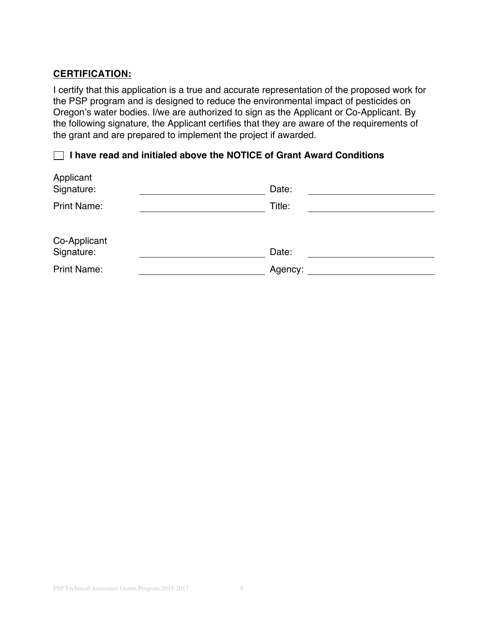# **CERTIFICATION:**

I certify that this application is a true and accurate representation of the proposed work for the PSP program and is designed to reduce the environmental impact of pesticides on Oregon's water bodies. I/we are authorized to sign as the Applicant or Co-Applicant. By the following signature, the Applicant certifies that they are aware of the requirements of the grant and are prepared to implement the project if awarded.

# **I have read and initialed above the NOTICE of Grant Award Conditions**

| Applicant<br>Signature:    | Date:   |  |
|----------------------------|---------|--|
| <b>Print Name:</b>         | Title:  |  |
|                            |         |  |
| Co-Applicant<br>Signature: | Date:   |  |
| <b>Print Name:</b>         | Agency: |  |